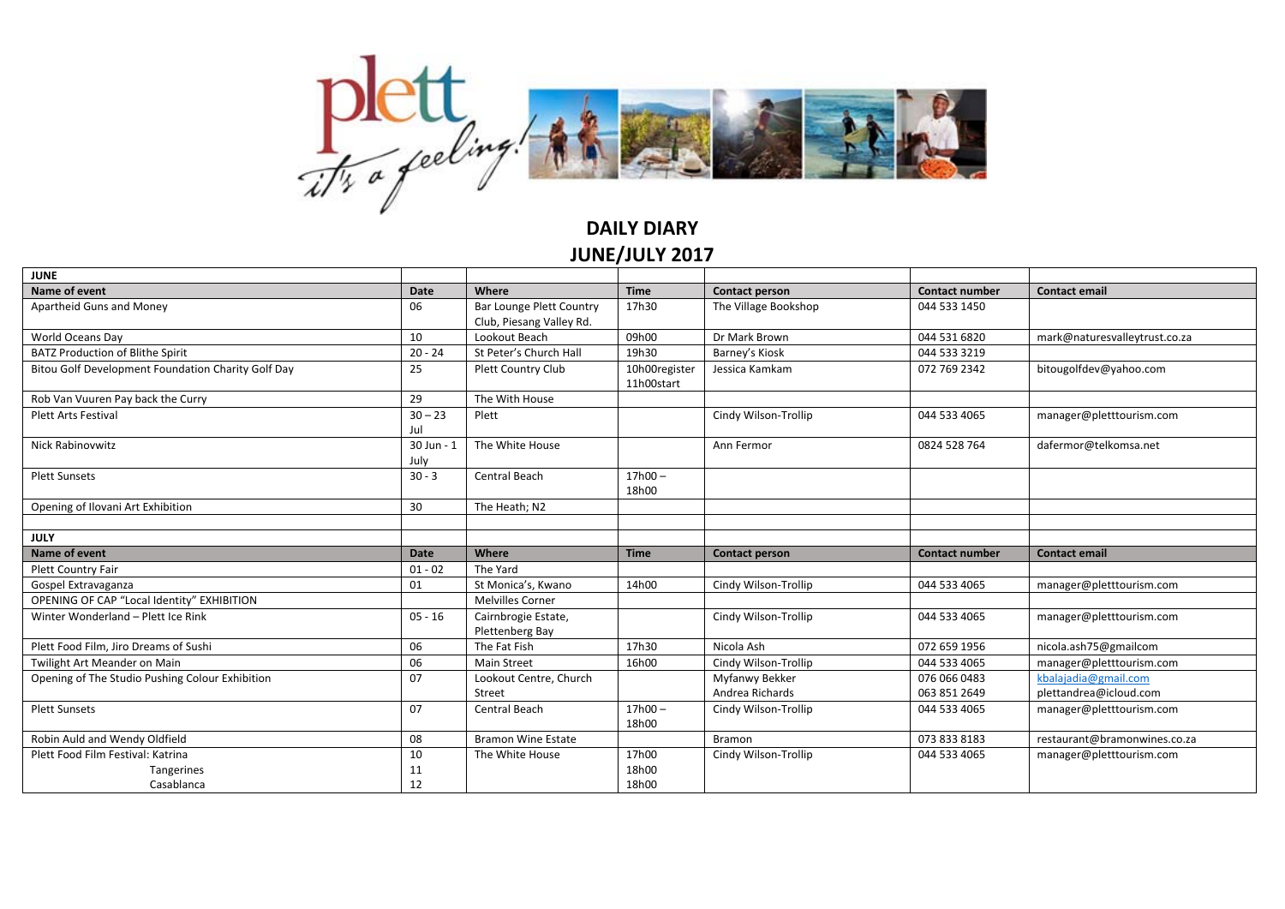

## **DAILY DIARY JUNE/JULY 2017**

| <b>JUNE</b>                                        |            |                                 |                             |                       |                       |                               |
|----------------------------------------------------|------------|---------------------------------|-----------------------------|-----------------------|-----------------------|-------------------------------|
| Name of event                                      | Date       | Where                           | <b>Time</b>                 | Contact person        | <b>Contact number</b> | <b>Contact email</b>          |
| Apartheid Guns and Money                           | 06         | <b>Bar Lounge Plett Country</b> | 17h30                       | The Village Bookshop  | 044 533 1450          |                               |
|                                                    |            | Club, Piesang Valley Rd.        |                             |                       |                       |                               |
| World Oceans Day                                   | 10         | Lookout Beach                   | 09h00                       | Dr Mark Brown         | 044 531 6820          | mark@naturesvalleytrust.co.za |
| <b>BATZ Production of Blithe Spirit</b>            | $20 - 24$  | St Peter's Church Hall          | 19h30                       | Barney's Kiosk        | 044 533 3219          |                               |
| Bitou Golf Development Foundation Charity Golf Day | 25         | <b>Plett Country Club</b>       | 10h00register<br>11h00start | Jessica Kamkam        | 072 769 2342          | bitougolfdev@yahoo.com        |
| Rob Van Vuuren Pay back the Curry                  | 29         | The With House                  |                             |                       |                       |                               |
| <b>Plett Arts Festival</b>                         | $30 - 23$  | Plett                           |                             | Cindy Wilson-Trollip  | 044 533 4065          | manager@pletttourism.com      |
|                                                    | Jul        |                                 |                             |                       |                       |                               |
| Nick Rabinovwitz                                   | 30 Jun - 1 | The White House                 |                             | Ann Fermor            | 0824 528 764          | dafermor@telkomsa.net         |
|                                                    | July       |                                 |                             |                       |                       |                               |
| <b>Plett Sunsets</b>                               | $30 - 3$   | Central Beach                   | $17h00 -$                   |                       |                       |                               |
|                                                    |            |                                 | 18h00                       |                       |                       |                               |
| Opening of Ilovani Art Exhibition                  | 30         | The Heath; N2                   |                             |                       |                       |                               |
|                                                    |            |                                 |                             |                       |                       |                               |
| <b>JULY</b>                                        |            |                                 |                             |                       |                       |                               |
| Name of event                                      | Date       | Where                           | <b>Time</b>                 | <b>Contact person</b> | <b>Contact number</b> | <b>Contact email</b>          |
| Plett Country Fair                                 | $01 - 02$  | The Yard                        |                             |                       |                       |                               |
| Gospel Extravaganza                                | 01         | St Monica's, Kwano              | 14h00                       | Cindy Wilson-Trollip  | 044 533 4065          | manager@pletttourism.com      |
| OPENING OF CAP "Local Identity" EXHIBITION         |            |                                 |                             |                       |                       |                               |
|                                                    |            | <b>Melvilles Corner</b>         |                             |                       |                       |                               |
| Winter Wonderland - Plett Ice Rink                 | $05 - 16$  | Cairnbrogie Estate,             |                             | Cindy Wilson-Trollip  | 044 533 4065          | manager@pletttourism.com      |
|                                                    |            | Plettenberg Bay                 |                             |                       |                       |                               |
| Plett Food Film, Jiro Dreams of Sushi              | 06         | The Fat Fish                    | 17h30                       | Nicola Ash            | 072 659 1956          | nicola.ash75@gmailcom         |
| Twilight Art Meander on Main                       | 06         | <b>Main Street</b>              | 16h00                       | Cindy Wilson-Trollip  | 044 533 4065          | manager@pletttourism.com      |
| Opening of The Studio Pushing Colour Exhibition    | 07         | Lookout Centre, Church          |                             | Myfanwy Bekker        | 076 066 0483          | kbalajadia@gmail.com          |
|                                                    |            | Street                          |                             | Andrea Richards       | 063 851 2649          | plettandrea@icloud.com        |
| <b>Plett Sunsets</b>                               | 07         | Central Beach                   | $17h00 -$                   | Cindy Wilson-Trollip  | 044 533 4065          | manager@pletttourism.com      |
|                                                    |            |                                 | 18h00                       |                       |                       |                               |
| Robin Auld and Wendy Oldfield                      | 08         | <b>Bramon Wine Estate</b>       |                             | <b>Bramon</b>         | 073 833 8183          | restaurant@bramonwines.co.za  |
| Plett Food Film Festival: Katrina                  | 10         | The White House                 | 17h00                       | Cindy Wilson-Trollip  | 044 533 4065          | manager@pletttourism.com      |
| Tangerines                                         | 11         |                                 | 18h00                       |                       |                       |                               |